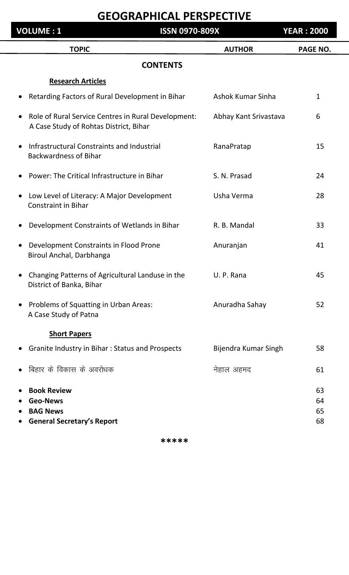| <b>VOLUME: 1</b>                                                                                           | <b>ISSN 0970-809X</b> |                       | <b>YEAR: 2000</b>    |
|------------------------------------------------------------------------------------------------------------|-----------------------|-----------------------|----------------------|
| <b>TOPIC</b>                                                                                               |                       | <b>AUTHOR</b>         | <b>PAGE NO.</b>      |
|                                                                                                            | <b>CONTENTS</b>       |                       |                      |
| <b>Research Articles</b>                                                                                   |                       |                       |                      |
| Retarding Factors of Rural Development in Bihar                                                            |                       | Ashok Kumar Sinha     | $\mathbf{1}$         |
| Role of Rural Service Centres in Rural Development:<br>$\bullet$<br>A Case Study of Rohtas District, Bihar |                       | Abhay Kant Srivastava | 6                    |
| Infrastructural Constraints and Industrial<br>$\bullet$<br><b>Backwardness of Bihar</b>                    |                       | RanaPratap            | 15                   |
| Power: The Critical Infrastructure in Bihar<br>$\bullet$                                                   |                       | S. N. Prasad          | 24                   |
| Low Level of Literacy: A Major Development<br>$\bullet$<br><b>Constraint in Bihar</b>                      |                       | Usha Verma            | 28                   |
| Development Constraints of Wetlands in Bihar<br>$\bullet$                                                  |                       | R. B. Mandal          | 33                   |
| Development Constraints in Flood Prone<br>$\bullet$<br>Biroul Anchal, Darbhanga                            |                       | Anuranjan             | 41                   |
| Changing Patterns of Agricultural Landuse in the<br>District of Banka, Bihar                               |                       | U. P. Rana            | 45                   |
| Problems of Squatting in Urban Areas:<br>$\bullet$<br>A Case Study of Patna                                |                       | Anuradha Sahay        | 52                   |
| <b>Short Papers</b>                                                                                        |                       |                       |                      |
| Granite Industry in Bihar: Status and Prospects                                                            |                       | Bijendra Kumar Singh  | 58                   |
| बिहार के विकास के अवरोधक                                                                                   |                       | नेहाल अहमद            | 61                   |
| <b>Book Review</b><br><b>Geo-News</b><br><b>BAG News</b><br><b>General Secretary's Report</b>              |                       |                       | 63<br>64<br>65<br>68 |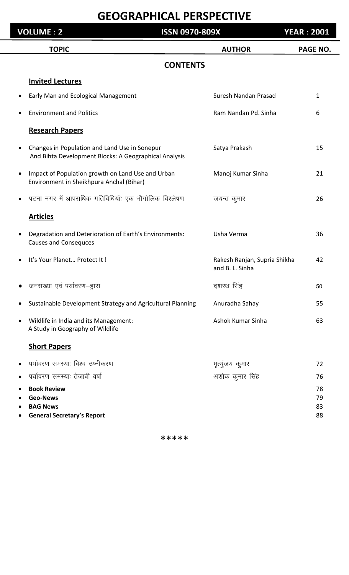| <b>VOLUME: 2</b><br><b>ISSN 0970-809X</b> |                                                                                                        |                                                 | <b>YEAR : 2001</b>   |
|-------------------------------------------|--------------------------------------------------------------------------------------------------------|-------------------------------------------------|----------------------|
|                                           | <b>TOPIC</b>                                                                                           | <b>AUTHOR</b>                                   | <b>PAGE NO.</b>      |
|                                           | <b>CONTENTS</b>                                                                                        |                                                 |                      |
|                                           | <b>Invited Lectures</b>                                                                                |                                                 |                      |
|                                           | Early Man and Ecological Management                                                                    | Suresh Nandan Prasad                            | 1                    |
|                                           | <b>Environment and Politics</b>                                                                        | Ram Nandan Pd. Sinha                            | 6                    |
|                                           | <b>Research Papers</b>                                                                                 |                                                 |                      |
|                                           | Changes in Population and Land Use in Sonepur<br>And Bihta Development Blocks: A Geographical Analysis | Satya Prakash                                   | 15                   |
|                                           | Impact of Population growth on Land Use and Urban<br>Environment in Sheikhpura Anchal (Bihar)          | Manoj Kumar Sinha                               | 21                   |
|                                           | पटना नगर में आपराधिक गतिविधियाँः एक भौगोलिक विश्लेषण                                                   | जयन्त कुमार                                     | 26                   |
|                                           | <b>Articles</b>                                                                                        |                                                 |                      |
|                                           | Degradation and Deterioration of Earth's Environments:<br><b>Causes and Consequces</b>                 | Usha Verma                                      | 36                   |
|                                           | It's Your Planet Protect It!                                                                           | Rakesh Ranjan, Supria Shikha<br>and B. L. Sinha | 42                   |
|                                           | जनसंख्या एवं पर्यावरण–ह्रास                                                                            | दशरथ सिंह                                       | 50                   |
|                                           | Sustainable Development Strategy and Agricultural Planning                                             | Anuradha Sahay                                  | 55                   |
|                                           | Wildlife in India and its Management:<br>A Study in Geography of Wildlife                              | Ashok Kumar Sinha                               | 63                   |
|                                           | <b>Short Papers</b>                                                                                    |                                                 |                      |
|                                           | पर्यावरण समस्याः विश्व उष्नीकरण                                                                        | मृत्युंजय कुमार                                 | 72                   |
|                                           | पर्यावरण समस्याः तेजाबी वर्षा                                                                          | अशोक कुमार सिंह                                 | 76                   |
|                                           | <b>Book Review</b><br><b>Geo-News</b><br><b>BAG News</b><br><b>General Secretary's Report</b>          |                                                 | 78<br>79<br>83<br>88 |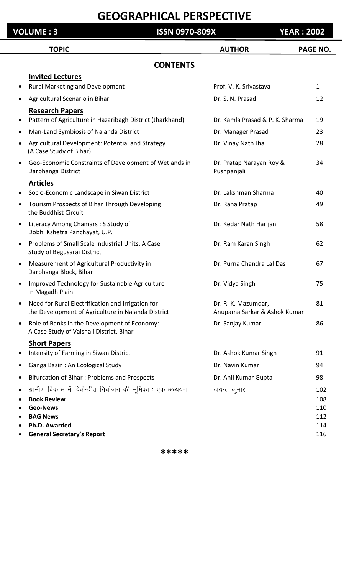#### **VOLUME : 3 ISSN 0970-809X YEAR : 2002**

|           | <b>TOPIC</b>                                                                                            | <b>AUTHOR</b>                                       | <b>PAGE NO.</b> |
|-----------|---------------------------------------------------------------------------------------------------------|-----------------------------------------------------|-----------------|
|           | <b>CONTENTS</b>                                                                                         |                                                     |                 |
|           | <b>Invited Lectures</b>                                                                                 |                                                     |                 |
| ٠         | Rural Marketing and Development                                                                         | Prof. V. K. Srivastava                              | $\mathbf{1}$    |
| ٠         | Agricultural Scenario in Bihar                                                                          | Dr. S. N. Prasad                                    | 12              |
|           | <b>Research Papers</b>                                                                                  |                                                     |                 |
| $\bullet$ | Pattern of Agriculture in Hazaribagh District (Jharkhand)                                               | Dr. Kamla Prasad & P. K. Sharma                     | 19              |
| ٠         | Man-Land Symbiosis of Nalanda District                                                                  | Dr. Manager Prasad                                  | 23              |
|           | Agricultural Development: Potential and Strategy<br>(A Case Study of Bihar)                             | Dr. Vinay Nath Jha                                  | 28              |
| $\bullet$ | Geo-Economic Constraints of Development of Wetlands in<br>Darbhanga District                            | Dr. Pratap Narayan Roy &<br>Pushpanjali             | 34              |
|           | <b>Articles</b>                                                                                         |                                                     |                 |
|           | Socio-Economic Landscape in Siwan District                                                              | Dr. Lakshman Sharma                                 | 40              |
| ٠         | Tourism Prospects of Bihar Through Developing<br>the Buddhist Circuit                                   | Dr. Rana Pratap                                     | 49              |
| $\bullet$ | Literacy Among Chamars: S Study of<br>Dobhi Kshetra Panchayat, U.P.                                     | Dr. Kedar Nath Harijan                              | 58              |
| $\bullet$ | Problems of Small Scale Industrial Units: A Case<br>Study of Begusarai District                         | Dr. Ram Karan Singh                                 | 62              |
| $\bullet$ | Measurement of Agricultural Productivity in<br>Darbhanga Block, Bihar                                   | Dr. Purna Chandra Lal Das                           | 67              |
| $\bullet$ | Improved Technology for Sustainable Agriculture<br>In Magadh Plain                                      | Dr. Vidya Singh                                     | 75              |
| $\bullet$ | Need for Rural Electrification and Irrigation for<br>the Development of Agriculture in Nalanda District | Dr. R. K. Mazumdar,<br>Anupama Sarkar & Ashok Kumar | 81              |
| $\bullet$ | Role of Banks in the Development of Economy:<br>A Case Study of Vaishali District, Bihar                | Dr. Sanjay Kumar                                    | 86              |
|           | <b>Short Papers</b>                                                                                     |                                                     |                 |
| $\bullet$ | Intensity of Farming in Siwan District                                                                  | Dr. Ashok Kumar Singh                               | 91              |
| ٠         | Ganga Basin: An Ecological Study                                                                        | Dr. Navin Kumar                                     | 94              |
| ٠         | Bifurcation of Bihar: Problems and Prospects                                                            | Dr. Anil Kumar Gupta                                | 98              |
|           | ग्रामीण विकास में विकेन्द्रीत नियोजन की भूमिका : एक अध्ययन                                              | जयन्त कुमार                                         | 102             |
|           | <b>Book Review</b>                                                                                      |                                                     | 108             |
|           | <b>Geo-News</b>                                                                                         |                                                     | 110             |
|           | <b>BAG News</b>                                                                                         |                                                     | 112             |
|           | Ph.D. Awarded<br><b>General Secretary's Report</b>                                                      |                                                     | 114<br>116      |
|           |                                                                                                         |                                                     |                 |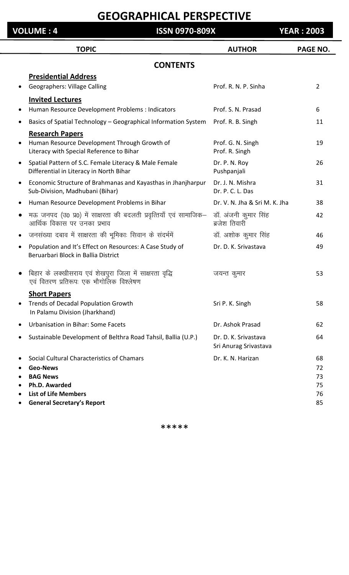| <b>VOLUME: 4</b> | <b>ISSN 0970-809X</b>                                                                                                                                                 |                                               | <b>YEAR: 2003</b>                |
|------------------|-----------------------------------------------------------------------------------------------------------------------------------------------------------------------|-----------------------------------------------|----------------------------------|
|                  | <b>TOPIC</b>                                                                                                                                                          | <b>AUTHOR</b>                                 | PAGE NO.                         |
|                  | <b>CONTENTS</b>                                                                                                                                                       |                                               |                                  |
|                  | <b>Presidential Address</b><br><b>Geographers: Village Calling</b>                                                                                                    | Prof. R. N. P. Sinha                          | 2                                |
|                  | <b>Invited Lectures</b><br>Human Resource Development Problems : Indicators                                                                                           | Prof. S. N. Prasad                            | 6                                |
| $\bullet$        | Basics of Spatial Technology - Geographical Information System                                                                                                        | Prof. R. B. Singh                             | 11                               |
|                  | <b>Research Papers</b><br>Human Resource Development Through Growth of<br>Literacy with Special Reference to Bihar                                                    | Prof. G. N. Singh<br>Prof. R. Singh           | 19                               |
| $\bullet$        | Spatial Pattern of S.C. Female Literacy & Male Female<br>Differential in Literacy in North Bihar                                                                      | Dr. P. N. Roy<br>Pushpanjali                  | 26                               |
| $\bullet$        | Economic Structure of Brahmanas and Kayasthas in Jhanjharpur<br>Sub-Division, Madhubani (Bihar)                                                                       | Dr. J. N. Mishra<br>Dr. P. C. L. Das          | 31                               |
| $\bullet$        | Human Resource Development Problems in Bihar                                                                                                                          | Dr. V. N. Jha & Sri M. K. Jha                 | 38                               |
| $\bullet$        | मऊ जनपद (उ0 प्र0) में साक्षरता की बदलती प्रवृत्तियाँ एवं सामाजिक–<br>आर्थिक विकास पर उनका प्रभाव                                                                      | डॉ. अंजनी कुमार सिंह<br>ब्रजेश तिवारी         | 42                               |
|                  | जनसंख्या दबाव में साक्षरता की भूमिकाः सिवान के संदर्भमें                                                                                                              | डॉ. अशोक कुमार सिंह                           | 46                               |
| $\bullet$        | Population and It's Effect on Resources: A Case Study of<br>Beruarbari Block in Ballia District                                                                       | Dr. D. K. Srivastava                          | 49                               |
|                  | बिहार के लक्खीसराय एवं शेखपुरा जिला में साक्षरता वृद्धि<br>एवं वितरण प्रतिरूपः एक भौगोलिक विश्लेषण                                                                    | जयन्त कुमार                                   | 53                               |
| $\bullet$        | <b>Short Papers</b><br>Trends of Decadal Population Growth<br>In Palamu Division (Jharkhand)                                                                          | Sri P. K. Singh                               | 58                               |
| $\bullet$        | <b>Urbanisation in Bihar: Some Facets</b>                                                                                                                             | Dr. Ashok Prasad                              | 62                               |
| $\bullet$        | Sustainable Development of Belthra Road Tahsil, Ballia (U.P.)                                                                                                         | Dr. D. K. Srivastava<br>Sri Anurag Srivastava | 64                               |
|                  | Social Cultural Characteristics of Chamars<br><b>Geo-News</b><br><b>BAG News</b><br>Ph.D. Awarded<br><b>List of Life Members</b><br><b>General Secretary's Report</b> | Dr. K. N. Harizan                             | 68<br>72<br>73<br>75<br>76<br>85 |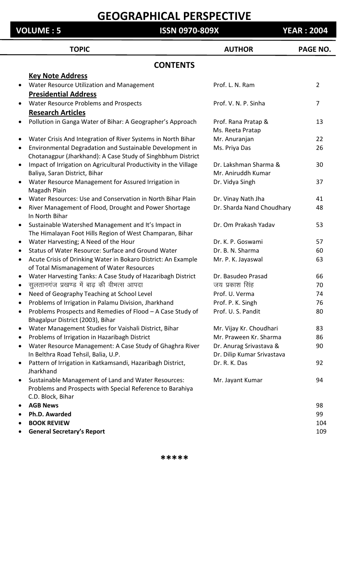#### **VOLUME : 5 ISSN 0970-809X YEAR : 2004**

| <b>TOPIC</b>                                                                              | <b>AUTHOR</b>                                     | PAGE NO.       |
|-------------------------------------------------------------------------------------------|---------------------------------------------------|----------------|
| <b>CONTENTS</b>                                                                           |                                                   |                |
| <b>Key Note Address</b>                                                                   |                                                   |                |
| Water Resource Utilization and Management<br>$\bullet$                                    | Prof. L. N. Ram                                   | $\overline{2}$ |
| <b>Presidential Address</b>                                                               |                                                   |                |
| Water Resource Problems and Prospects<br>$\bullet$                                        | Prof. V. N. P. Sinha                              | 7              |
| <b>Research Articles</b>                                                                  |                                                   |                |
| Pollution in Ganga Water of Bihar: A Geographer's Approach<br>$\bullet$                   | Prof. Rana Pratap &                               | 13             |
|                                                                                           | Ms. Reeta Pratap                                  |                |
| Water Crisis And Integration of River Systems in North Bihar<br>$\bullet$                 | Mr. Anuranjan                                     | 22             |
| Environmental Degradation and Sustainable Development in<br>$\bullet$                     | Ms. Priya Das                                     | 26             |
| Chotanagpur (Jharkhand): A Case Study of Singhbhum District                               |                                                   |                |
| Impact of Irrigation on Agricultural Productivity in the Village<br>$\bullet$             | Dr. Lakshman Sharma &                             | 30             |
| Baliya, Saran District, Bihar                                                             | Mr. Aniruddh Kumar                                |                |
| Water Resource Management for Assured Irrigation in<br>$\bullet$                          | Dr. Vidya Singh                                   | 37             |
| Magadh Plain                                                                              |                                                   |                |
| Water Resources: Use and Conservation in North Bihar Plain<br>$\bullet$                   | Dr. Vinay Nath Jha                                | 41             |
| River Management of Flood, Drought and Power Shortage<br>$\bullet$                        | Dr. Sharda Nand Choudhary                         | 48             |
| In North Bihar                                                                            |                                                   |                |
| Sustainable Watershed Management and It's Impact in<br>$\bullet$                          | Dr. Om Prakash Yadav                              | 53             |
| The Himalayan Foot Hills Region of West Champaran, Bihar                                  |                                                   |                |
| Water Harvesting; A Need of the Hour<br>$\bullet$                                         | Dr. K. P. Goswami                                 | 57             |
| Status of Water Resource: Surface and Ground Water<br>٠                                   | Dr. B. N. Sharma                                  | 60             |
| Acute Crisis of Drinking Water in Bokaro District: An Example<br>$\bullet$                | Mr. P. K. Jayaswal                                | 63             |
| of Total Mismanagement of Water Resources                                                 |                                                   |                |
| Water Harvesting Tanks: A Case Study of Hazaribagh District<br>$\bullet$                  | Dr. Basudeo Prasad                                | 66             |
| सुलतानगंज प्रखण्ड में बाढ़ की वीभत्स आपदा<br>$\bullet$                                    | जय प्रकाश सिंह                                    | 70             |
| Need of Geography Teaching at School Level<br>$\bullet$                                   | Prof. U. Verma                                    | 74             |
| Problems of Irrigation in Palamu Division, Jharkhand                                      | Prof. P. K. Singh                                 | 76             |
| Problems Prospects and Remedies of Flood - A Case Study of                                | Prof. U. S. Pandit                                | 80             |
| Bhagalpur District (2003), Bihar<br>Water Management Studies for Vaishali District, Bihar |                                                   | 83             |
| $\bullet$<br>Problems of Irrigation in Hazaribagh District                                | Mr. Vijay Kr. Choudhari<br>Mr. Praween Kr. Sharma | 86             |
| ٠<br>Water Resource Management: A Case Study of Ghaghra River<br>٠                        | Dr. Anurag Srivastava &                           | 90             |
| In Belthra Road Tehsil, Balia, U.P.                                                       | Dr. Dilip Kumar Srivastava                        |                |
| Pattern of Irrigation in Katkamsandi, Hazaribagh District,<br>٠                           | Dr. R. K. Das                                     | 92             |
| Jharkhand                                                                                 |                                                   |                |
| Sustainable Management of Land and Water Resources:<br>$\bullet$                          | Mr. Jayant Kumar                                  | 94             |
| Problems and Prospects with Special Reference to Barahiya                                 |                                                   |                |
| C.D. Block, Bihar                                                                         |                                                   |                |
| <b>AGB News</b>                                                                           |                                                   | 98             |
| Ph.D. Awarded                                                                             |                                                   | 99             |
| <b>BOOK REVIEW</b>                                                                        |                                                   | 104            |
| <b>General Secretary's Report</b><br>$\bullet$                                            |                                                   | 109            |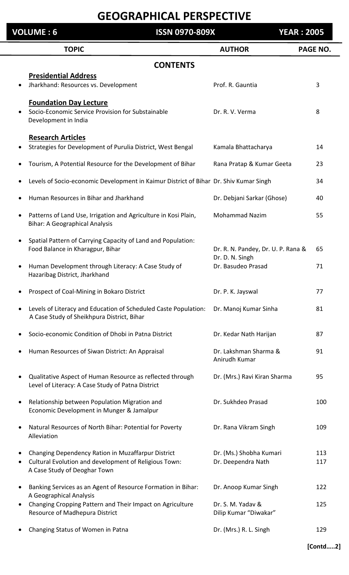|           | <b>VOLUME: 6</b>                                                                                                                            | <b>ISSN 0970-809X</b> |                                                       | <b>YEAR: 2005</b> |            |
|-----------|---------------------------------------------------------------------------------------------------------------------------------------------|-----------------------|-------------------------------------------------------|-------------------|------------|
|           | <b>TOPIC</b>                                                                                                                                |                       | <b>AUTHOR</b>                                         | <b>PAGE NO.</b>   |            |
|           |                                                                                                                                             | <b>CONTENTS</b>       |                                                       |                   |            |
|           | <b>Presidential Address</b>                                                                                                                 |                       | Prof. R. Gauntia                                      |                   |            |
| $\bullet$ | Jharkhand: Resources vs. Development                                                                                                        |                       |                                                       | 3                 |            |
|           | <b>Foundation Day Lecture</b><br>Socio-Economic Service Provision for Substainable<br>Development in India                                  |                       | Dr. R. V. Verma                                       | 8                 |            |
| ٠         | <b>Research Articles</b><br>Strategies for Development of Purulia District, West Bengal                                                     |                       | Kamala Bhattacharya                                   | 14                |            |
|           | Tourism, A Potential Resource for the Development of Bihar                                                                                  |                       | Rana Pratap & Kumar Geeta                             | 23                |            |
|           | Levels of Socio-economic Development in Kaimur District of Bihar Dr. Shiv Kumar Singh                                                       |                       |                                                       | 34                |            |
|           | Human Resources in Bihar and Jharkhand                                                                                                      |                       | Dr. Debjani Sarkar (Ghose)                            | 40                |            |
| $\bullet$ | Patterns of Land Use, Irrigation and Agriculture in Kosi Plain,<br><b>Bihar: A Geographical Analysis</b>                                    |                       | <b>Mohammad Nazim</b>                                 | 55                |            |
| $\bullet$ | Spatial Pattern of Carrying Capacity of Land and Population:<br>Food Balance in Kharagpur, Bihar                                            |                       | Dr. R. N. Pandey, Dr. U. P. Rana &<br>Dr. D. N. Singh | 65                |            |
| $\bullet$ | Human Development through Literacy: A Case Study of<br>Hazaribag District, Jharkhand                                                        |                       | Dr. Basudeo Prasad                                    | 71                |            |
|           | Prospect of Coal-Mining in Bokaro District                                                                                                  |                       | Dr. P. K. Jayswal                                     | 77                |            |
| ٠         | Levels of Literacy and Education of Scheduled Caste Population:<br>A Case Study of Sheikhpura District, Bihar                               |                       | Dr. Manoj Kumar Sinha                                 | 81                |            |
|           | Socio-economic Condition of Dhobi in Patna District                                                                                         |                       | Dr. Kedar Nath Harijan                                | 87                |            |
| ٠         | Human Resources of Siwan District: An Appraisal                                                                                             |                       | Dr. Lakshman Sharma &<br>Anirudh Kumar                | 91                |            |
| ٠         | Qualitative Aspect of Human Resource as reflected through<br>Level of Literacy: A Case Study of Patna District                              |                       | Dr. (Mrs.) Ravi Kiran Sharma                          | 95                |            |
| $\bullet$ | Relationship between Population Migration and<br>Economic Development in Munger & Jamalpur                                                  |                       | Dr. Sukhdeo Prasad                                    |                   | 100        |
| $\bullet$ | Natural Resources of North Bihar: Potential for Poverty<br>Alleviation                                                                      |                       | Dr. Rana Vikram Singh                                 |                   | 109        |
|           | Changing Dependency Ration in Muzaffarpur District<br>Cultural Evolution and development of Religious Town:<br>A Case Study of Deoghar Town |                       | Dr. (Ms.) Shobha Kumari<br>Dr. Deependra Nath         |                   | 113<br>117 |
| ٠         | Banking Services as an Agent of Resource Formation in Bihar:<br>A Geographical Analysis                                                     |                       | Dr. Anoop Kumar Singh                                 |                   | 122        |
| $\bullet$ | Changing Cropping Pattern and Their Impact on Agriculture<br>Resource of Madhepura District                                                 |                       | Dr. S. M. Yadav &<br>Dilip Kumar "Diwakar"            |                   | 125        |
|           | Changing Status of Women in Patna                                                                                                           |                       | Dr. (Mrs.) R. L. Singh                                |                   | 129        |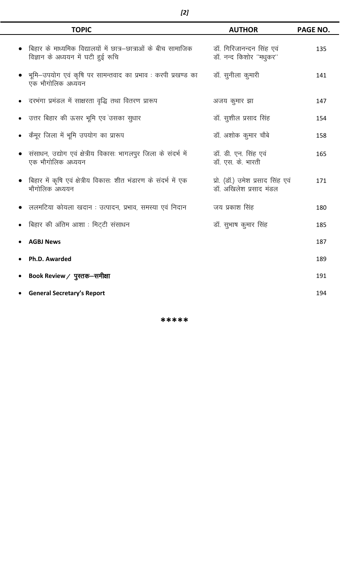| <b>TOPIC</b>                                                                                         | <b>AUTHOR</b>                                              | PAGE NO. |
|------------------------------------------------------------------------------------------------------|------------------------------------------------------------|----------|
| बिहार के माध्यमिक विद्यालयों में छात्र–छात्राओं के बीच सामाजिक<br>विज्ञान के अध्ययन में घटी हुई रूचि | डॉ. गिरिजानन्दन सिंह एवं<br>डॉ. नन्द किशोर "मधुकर"         | 135      |
| भूमि—उपयोग एवं कृषि पर सामन्तवाद का प्रभाव : करपी प्रखण्ड का<br>एक भौगोलिक अध्ययन                    | डॉ. सुनीला कुमारी                                          | 141      |
| दरभंगा प्रमंडल में साक्षरता वृद्धि तथा वितरण प्रारूप                                                 | अजय कुमार झा                                               | 147      |
| उत्तर बिहार की ऊसर भूमि एव उसका सुधार                                                                | डॉ. सुशील प्रसाद सिंह                                      | 154      |
| कैमूर जिला में भूमि उपयोग का प्रारूप                                                                 | डॉ. अशोक कुमार चौबे                                        | 158      |
| संसाधन, उद्योग एवं क्षेत्रीय विकासः भागलपुर जिला के संदर्भ में<br>एक भौगोलिक अध्ययन                  | डॉ. डी. एन. सिंह एवं<br>डॉ. एस. के. भारती                  | 165      |
| बिहार में कृषि एवं क्षेत्रीय विकासः शीत भंडारण के संदर्भ में एक<br>भौगोलिक अध्ययन                    | प्रो. (डॉ.) उमेश प्रसाद सिंह एवं<br>डॉ. अखिलेश प्रसाद मंडल | 171      |
| ललमटिया कोयला खदान : उत्पादन, प्रभाव, समस्या एवं निदान                                               | जय प्रकाश सिंह                                             | 180      |
| बिहार की अंतिम आशा : मिट्टी संसाधन                                                                   | डॉ. सुभाष कुमार सिंह                                       | 185      |
| <b>AGBJ News</b>                                                                                     |                                                            | 187      |
| Ph.D. Awarded                                                                                        |                                                            | 189      |
| Book Review / पुस्तक—समीक्षा                                                                         |                                                            | 191      |
| <b>General Secretary's Report</b>                                                                    |                                                            | 194      |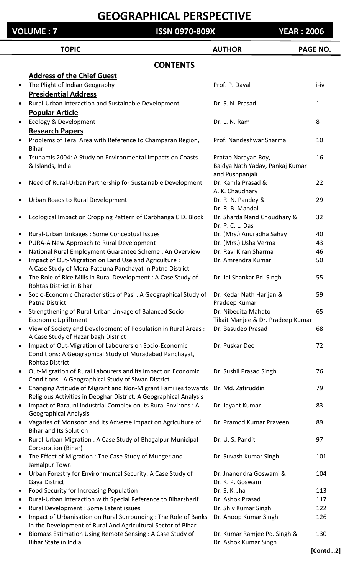#### **VOLUME : 7 ISSN 0970-809X YEAR : 2006**

|           | <b>TOPIC</b>                                                                                                      | <b>AUTHOR</b>                                | PAGE NO.     |
|-----------|-------------------------------------------------------------------------------------------------------------------|----------------------------------------------|--------------|
|           | <b>CONTENTS</b>                                                                                                   |                                              |              |
|           | <b>Address of the Chief Guest</b>                                                                                 |                                              |              |
| $\bullet$ | The Plight of Indian Geography<br><b>Presidential Address</b>                                                     | Prof. P. Dayal                               | i-iv         |
|           |                                                                                                                   | Dr. S. N. Prasad                             | $\mathbf{1}$ |
| $\bullet$ | Rural-Urban Interaction and Sustainable Development                                                               |                                              |              |
|           | <b>Popular Article</b>                                                                                            |                                              | 8            |
| $\bullet$ | <b>Ecology &amp; Development</b>                                                                                  | Dr. L. N. Ram                                |              |
|           | <b>Research Papers</b>                                                                                            |                                              |              |
| $\bullet$ | Problems of Terai Area with Reference to Champaran Region,<br><b>Bihar</b>                                        | Prof. Nandeshwar Sharma                      | 10           |
|           | Tsunamis 2004: A Study on Environmental Impacts on Coasts                                                         | Pratap Narayan Roy,                          | 16           |
|           | & Islands, India                                                                                                  | Baidya Nath Yadav, Pankaj Kumar              |              |
|           |                                                                                                                   | and Pushpanjali                              |              |
| $\bullet$ | Need of Rural-Urban Partnership for Sustainable Development                                                       | Dr. Kamla Prasad &<br>A. K. Chaudhary        | 22           |
| $\bullet$ | Urban Roads to Rural Development                                                                                  | Dr. R. N. Pandey &                           | 29           |
|           |                                                                                                                   | Dr. R. B. Mandal                             |              |
| $\bullet$ | Ecological Impact on Cropping Pattern of Darbhanga C.D. Block                                                     | Dr. Sharda Nand Choudhary &                  | 32           |
|           |                                                                                                                   | Dr. P. C. L. Das                             |              |
| $\bullet$ | Rural-Urban Linkages: Some Conceptual Issues                                                                      | Dr. (Mrs.) Anuradha Sahay                    | 40           |
| $\bullet$ | PURA-A New Approach to Rural Development                                                                          | Dr. (Mrs.) Usha Verma                        | 43           |
| $\bullet$ | National Rural Employment Guarantee Scheme: An Overview                                                           | Dr. Ravi Kiran Sharma                        | 46           |
| $\bullet$ | Impact of Out-Migration on Land Use and Agriculture :<br>A Case Study of Mera-Patauna Panchayat in Patna District | Dr. Amrendra Kumar                           | 50           |
| $\bullet$ | The Role of Rice Mills in Rural Development : A Case Study of                                                     | Dr. Jai Shankar Pd. Singh                    | 55           |
|           | Rohtas District in Bihar                                                                                          |                                              |              |
|           | Socio-Economic Characteristics of Pasi: A Geographical Study of<br>Patna District                                 | Dr. Kedar Nath Harijan &<br>Pradeep Kumar    | 59           |
| $\bullet$ | Strengthening of Rural-Urban Linkage of Balanced Socio-                                                           | Dr. Nibedita Mahato                          | 65           |
|           | <b>Economic Upliftment</b>                                                                                        | Tikait Manjee & Dr. Pradeep Kumar            |              |
| $\bullet$ | View of Society and Development of Population in Rural Areas:<br>A Case Study of Hazaribagh District              | Dr. Basudeo Prasad                           | 68           |
| $\bullet$ | Impact of Out-Migration of Labourers on Socio-Economic                                                            | Dr. Puskar Deo                               | 72           |
|           | Conditions: A Geographical Study of Muradabad Panchayat,<br><b>Rohtas District</b>                                |                                              |              |
| $\bullet$ | Out-Migration of Rural Labourers and its Impact on Economic                                                       | Dr. Sushil Prasad Singh                      | 76           |
|           | Conditions: A Geographical Study of Siwan District                                                                |                                              |              |
| $\bullet$ | Changing Attitude of Migrant and Non-Migrant Families towards                                                     | Dr. Md. Zafiruddin                           | 79           |
|           | Religious Activities in Deoghar District: A Geographical Analysis                                                 |                                              |              |
| $\bullet$ | Impact of Barauni Industrial Complex on Its Rural Environs : A<br><b>Geographical Analysis</b>                    | Dr. Jayant Kumar                             | 83           |
| $\bullet$ | Vagaries of Monsoon and Its Adverse Impact on Agriculture of<br><b>Bihar and Its Solution</b>                     | Dr. Pramod Kumar Praveen                     | 89           |
| $\bullet$ | Rural-Urban Migration: A Case Study of Bhagalpur Municipal                                                        | Dr. U.S. Pandit                              | 97           |
|           | Corporation (Bihar)                                                                                               |                                              |              |
| $\bullet$ | The Effect of Migration : The Case Study of Munger and<br>Jamalpur Town                                           | Dr. Suvash Kumar Singh                       | 101          |
| $\bullet$ | Urban Forestry for Environmental Security: A Case Study of<br>Gaya District                                       | Dr. Jnanendra Goswami &<br>Dr. K. P. Goswami | 104          |
| $\bullet$ | Food Security for Increasing Population                                                                           | Dr. S. K. Jha                                | 113          |
| $\bullet$ | Rural-Urban Interaction with Special Reference to Biharsharif                                                     | Dr. Ashok Prasad                             | 117          |
| $\bullet$ | Rural Development : Some Latent issues                                                                            | Dr. Shiv Kumar Singh                         | 122          |
| $\bullet$ | Impact of Urbanisation on Rural Surrounding: The Role of Banks                                                    | Dr. Anoop Kumar Singh                        | 126          |
|           | in the Development of Rural And Agricultural Sector of Bihar                                                      |                                              |              |
| $\bullet$ | Biomass Estimation Using Remote Sensing : A Case Study of                                                         | Dr. Kumar Ramjee Pd. Singh &                 | 130          |
|           | Bihar State in India                                                                                              | Dr. Ashok Kumar Singh                        |              |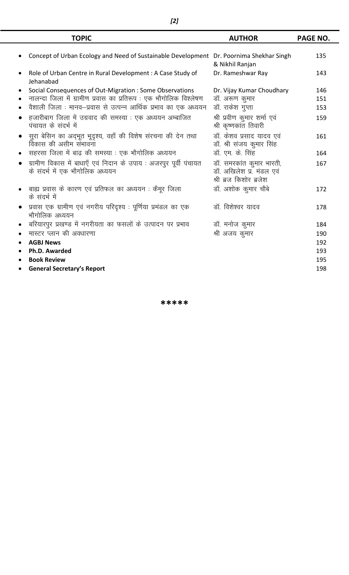| <b>TOPIC</b>                                                                                         | <b>AUTHOR</b>                                                                  | <b>PAGE NO.</b> |
|------------------------------------------------------------------------------------------------------|--------------------------------------------------------------------------------|-----------------|
| Concept of Urban Ecology and Need of Sustainable Development Dr. Poornima Shekhar Singh              | & Nikhil Ranjan                                                                | 135             |
| Role of Urban Centre in Rural Development: A Case Study of<br>Jehanabad                              | Dr. Rameshwar Ray                                                              | 143             |
| Social Consequences of Out-Migration : Some Observations                                             | Dr. Vijay Kumar Choudhary                                                      | 146             |
| नालन्दा जिला में ग्रामीण प्रवास का प्रतिरूप : एक भौगोलिक विश्लेषण                                    | डॉ. अरूण कुमार                                                                 | 151             |
| वैशाली जिला : मानव–प्रवास से उत्पन्न आर्थिक प्रभाव का एक अध्ययन                                      | डॉ. राकेश गुप्ता                                                               | 153             |
| हजारीबाग जिला में उग्रवाद की समस्या : एक अध्ययन अम्बाजित<br>पंचायत के संदर्भ में                     | श्री प्रवीण कुमार शर्मा एवं<br>श्री कृष्णकांत तिवारी                           | 159             |
| सुरा बेसिन का अद्भूत भूदृश्य, वहाँ की विशेष संरचना की देन तथा<br>विकास की असीम संभावना               | डॉ. केशव प्रसाद यादव एवं<br>डॉ. श्री संजय कुमार सिंह                           | 161             |
| सहरसा जिला में बाढ़ की समस्या : एक भौगोलिक अध्ययन                                                    | डॉ. एम. के. सिंह                                                               | 164             |
| ग्रामीण विकास में बाधाएँ एवं निदान के उपाय : अजरपुर पूर्वी पंचायत<br>के संदर्भ में एक भौगोलिक अध्ययन | डॉ. समरकांत कुमार भारती,<br>डॉ. अखिलेश प्र. मंडल एवं<br>श्री ब्रज किशोर ब्रजेश | 167             |
| बाह्य प्रवास के कारण एवं प्रतिफल का अध्ययन : कैमूर जिला<br>के संदर्भ में                             | डॉ. अशोक कुमार चौबे                                                            | 172             |
| प्रवास एक ग्रामीण एवं नगरीय परिदृश्य : पूर्णिया प्रमंडल का एक<br>$\bullet$<br>भौगोलिक अध्ययन         | डॉ. विशेश्वर यादव                                                              | 178             |
| बरियारपुर प्रखण्ड में नगरीयता का फसलों के उत्पादन पर प्रभाव                                          | डॉ. मनोज कुमार                                                                 | 184             |
| मास्टर प्लान की अवधारणा                                                                              | श्री अजय कुमार                                                                 | 190             |
| <b>AGBJ News</b>                                                                                     |                                                                                | 192             |
| Ph.D. Awarded                                                                                        |                                                                                | 193             |
| <b>Book Review</b>                                                                                   |                                                                                | 195             |
| <b>General Secretary's Report</b>                                                                    |                                                                                | 198             |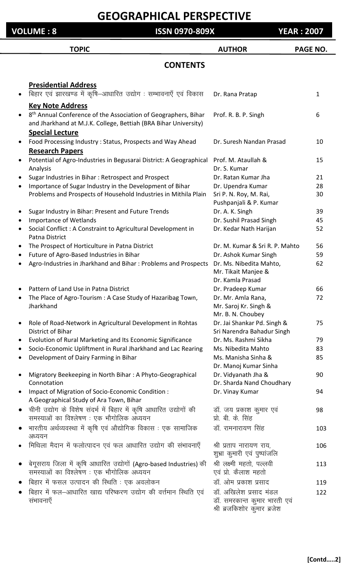**VOLUME : 8 ISSN 0970-809X YEAR : 2007**

#### TOPIC **AUTHOR** PAGE NO. **CONTENTS Presidential Address** hिहार एवं झारखण्ड में कृषि–आधारित उद्योग : सम्भावनाएँ एवं विकास Dr. Rana Pratap 1 **Key Note Address** • 8<sup>th</sup> Annual Conference of the Association of Geographers, Bihar Prof. R. B. P. Singh 66 and Jharkhand at M.J.K. College, Bettiah (BRA Bihar University) **Special Lecture** Food Processing Industry : Status, Prospects and Way Ahead Dr. Suresh Nandan Prasad 10 **Research Papers** Potential of Agro-Industries in Begusarai District: A Geographical Prof. M. Ataullah & 15 Analysis Dr. S. Kumar Sugar Industries in Bihar : Retrospect and Prospect **Dr. Ratan Kumar Jha** 21 Importance of Sugar Industry in the Development of Bihar Dr. Upendra Kumar 28 Problems and Prospects of Household Industries in Mithila Plain Sri P. N. Roy, M. Rai, 30 Pushpanjali & P. Kumar • Sugar Industry in Bihar: Present and Future Trends Dr. A. K. Singh 39 Importance of Wetlands **Importance of Wetlands Communist Communist Communist Communist Communist Communist Communist Communist Communist Communist Communist Communist Communist Communist Communist Communist Communist Com** Social Conflict : A Constraint to Agricultural Development in Dr. Kedar Nath Harijan 52 Patna District The Prospect of Horticulture in Patna District **Dr. M. Kumar & Sri R. P. Mahto** 56 Future of Agro-Based Industries in Bihar New York Ashok Kumar Singh 59 Agro-Industries in Jharkhand and Bihar : Problems and Prospects Dr. Ms. Nibedita Mahto, 62 Mr. Tikait Manjee & Dr. Kamla Prasad Pattern of Land Use in Patna District **Dr. Pradeep Kumar** 66 The Place of Agro-Tourism : A Case Study of Hazaribag Town, Dr. Mr. Amla Rana, 72 Jharkhand Mr. Saroj Kr. Singh & Mr. B. N. Choubey Role of Road-Network in Agricultural Development in Rohtas Dr. Jai Shankar Pd. Singh & 75 District of Bihar Sri Narendra Bahadur Singh Evolution of Rural Marketing and Its Economic Significance Dr. Ms. Rashmi Sikha 79 Socio-Economic Upliftment in Rural Jharkhand and Lac Rearing Ms. Nibedita Mahto 83 Development of Dairy Farming in Bihar Music Communism Ms. Manisha Sinha & 85 Dr. Manoj Kumar Sinha • Migratory Beekeeping in North Bihar : A Phyto-Geographical Dr. Vidyanath Jha & 90 Connotation Dr. Sharda Nand Choudhary Impact of Migration of Socio-Economic Condition : The Microsoft Dr. Vinay Kumar 64 A Geographical Study of Ara Town, Bihar • चीनी उद्योग के विशेष संदर्भ में बिहार में कृषि आधारित उद्योगों की ब्हाँ. जय प्रकाश कुमार एवं निर्धार प्रकाश के leL;kvksa dk fo"y s'k.k % ,d HkkSxksfyd v/;;u izks- ch- ds- flag भारतीय अर्थव्यवस्था में कृषि एवं औद्योगिक विकास : एक सामाजिक डॉ. रामनारायण सिंह 103 अध्ययन मिथिला मैदान में फलोत्पादन एवं फल आधारित उद्योग की संभावनाएँ श्री प्रताप नारायण राय, 106 शुभ्रा कुमारी एवं पुष्पांजलि बेगूसराय जिला में कृषि आधारित उद्योगों (Agro-based Industries) की श्री लक्ष्मी महतो, पल्लवी 113 समस्याओं का विश्लेषण : एक भौगोलिक अध्ययन एवं प्रो. कैलाश महतो fcgkj esa Qly mRiknu dh fLFkfr % ,d voyksdu MkW- vkse izdk"k izlkn 119 <u>बिहार में फल–आधारित खाद्य परिष्करण उद्योग की वर्त्तमान स्थिति एवं जॉ. अखिलेश प्रसाद मंडल 122</u> laHkkouk,¡ MkW- lejdkUr d qekj Hkkjrh ,oa श्री ब्रजकिशोर कुमार ब्रजेश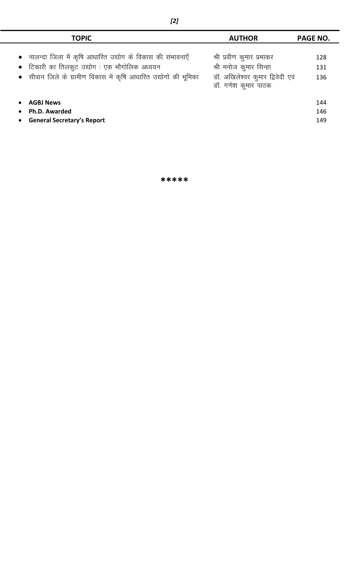| <b>TOPIC</b>                                                     | <b>AUTHOR</b>                                           | <b>PAGE NO.</b> |
|------------------------------------------------------------------|---------------------------------------------------------|-----------------|
| • नालन्दा जिला में कृषि आधारित उद्योग के विकास की संभावनाएँ      | श्री प्रवीण कुमार प्रभाकर                               | 128             |
| • टिकारी का तिलकुट उद्योग: एक भौगोलिक अध्ययन                     | श्री मनोज कुमार सिन्हा                                  | 131             |
| • सीवान जिले के ग्रामीण विकास में कृषि आधारित उद्योगों की भूमिका | डॉ. अखिलेश्वर कुमार द्विवेदी एवं<br>डॉ. गणेश कुमार पाठक | 136             |
| <b>AGBJ News</b>                                                 |                                                         | 144             |
| Ph.D. Awarded<br>$\bullet$                                       |                                                         | 146             |
| <b>General Secretary's Report</b><br>$\bullet$                   |                                                         | 149             |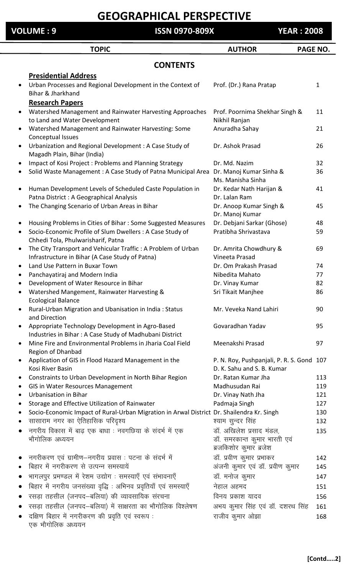**TOPIC CONSUMING AUTHOR PAGE NO. CONTENTS Presidential Address** Urban Processes and Regional Development in the Context of Prof. (Dr.) Rana Pratap 1 Bihar & Jharkhand **VOLUME : 9 ISSN 0970-809X YEAR : 2008**

|           | <b>Research Papers</b>                                                                                      |                                                                                   |     |
|-----------|-------------------------------------------------------------------------------------------------------------|-----------------------------------------------------------------------------------|-----|
| $\bullet$ | Watershed Management and Rainwater Harvesting Approaches                                                    | Prof. Poornima Shekhar Singh &                                                    | 11  |
|           | to Land and Water Development                                                                               | Nikhil Ranjan                                                                     |     |
| $\bullet$ | Watershed Management and Rainwater Harvesting: Some                                                         | Anuradha Sahay                                                                    | 21  |
|           | Conceptual Issues                                                                                           |                                                                                   |     |
| $\bullet$ | Urbanization and Regional Development : A Case Study of<br>Magadh Plain, Bihar (India)                      | Dr. Ashok Prasad                                                                  | 26  |
| $\bullet$ | Impact of Kosi Project: Problems and Planning Strategy                                                      | Dr. Md. Nazim                                                                     | 32  |
| $\bullet$ | Solid Waste Management : A Case Study of Patna Municipal Area                                               | Dr. Manoj Kumar Sinha &<br>Ms. Manisha Sinha                                      | 36  |
| $\bullet$ | Human Development Levels of Scheduled Caste Population in<br>Patna District : A Geographical Analysis       | Dr. Kedar Nath Harijan &<br>Dr. Lalan Ram                                         | 41  |
| $\bullet$ | The Changing Scenario of Urban Areas in Bihar                                                               | Dr. Anoop Kumar Singh &<br>Dr. Manoj Kumar                                        | 45  |
| $\bullet$ | Housing Problems in Cities of Bihar: Some Suggested Measures                                                | Dr. Debjani Sarkar (Ghose)                                                        | 48  |
| $\bullet$ | Socio-Economic Profile of Slum Dwellers : A Case Study of<br>Chhedi Tola, Phulwarisharif, Patna             | Pratibha Shrivastava                                                              | 59  |
| $\bullet$ | The City Transport and Vehicular Traffic: A Problem of Urban                                                | Dr. Amrita Chowdhury &                                                            | 69  |
|           | Infrastructure in Bihar (A Case Study of Patna)                                                             | Vineeta Prasad                                                                    |     |
| $\bullet$ | Land Use Pattern in Buxar Town                                                                              | Dr. Om Prakash Prasad                                                             | 74  |
| $\bullet$ | Panchayatiraj and Modern India                                                                              | Nibedita Mahato                                                                   | 77  |
| $\bullet$ | Development of Water Resource in Bihar                                                                      | Dr. Vinay Kumar                                                                   | 82  |
| $\bullet$ | Watershed Mangement, Rainwater Harvesting &<br><b>Ecological Balance</b>                                    | Sri Tikait Manjhee                                                                | 86  |
| $\bullet$ | Rural-Urban Migration and Ubanisation in India: Status<br>and Direction                                     | Mr. Veveka Nand Lahiri                                                            | 90  |
| $\bullet$ | Appropriate Technology Development in Agro-Based<br>Industries in Bihar: A Case Study of Madhubani District | Govaradhan Yadav                                                                  | 95  |
| $\bullet$ | Mine Fire and Environmental Problems in Jharia Coal Field<br>Region of Dhanbad                              | Meenakshi Prasad                                                                  | 97  |
|           | Application of GIS in Flood Hazard Management in the<br>Kosi River Basin                                    | P. N. Roy, Pushpanjali, P. R. S. Gond 107<br>D. K. Sahu and S. B. Kumar           |     |
|           | Constraints to Urban Development in North Bihar Region                                                      | Dr. Ratan Kumar Jha                                                               | 113 |
|           | GIS in Water Resources Management                                                                           | Madhusudan Rai                                                                    | 119 |
|           | <b>Urbanisation in Bihar</b>                                                                                | Dr. Vinay Nath Jha                                                                | 121 |
|           | Storage and Effective Utilization of Rainwater                                                              | Padmaja Singh                                                                     | 127 |
|           | Socio-Economic Impact of Rural-Urban Migration in Arwal District Dr. Shailendra Kr. Singh                   |                                                                                   | 130 |
|           | सासाराम नगर का ऐतिहासिक परिदृश्य                                                                            | श्याम सुन्दर सिंह                                                                 | 132 |
|           | नगरीय विकास में बाढ एक बाधा : नवगछिया के संदर्भ में एक<br>भौगोलिक अध्ययन                                    | डॉ. अखिलेश प्रसाद मंडल,<br>डॉ. समरकान्त कुमार भारती एवं<br>ब्रजकिशोर कुमार ब्रजेश | 135 |
|           | नगरीकरण एवं ग्रामीण—नगरीय प्रवास : पटना के संदर्भ में                                                       | डॉ. प्रवीण कुमार प्रभाकर                                                          | 142 |
|           | बिहार में नगरीकरण से उत्पन्न समस्यायें                                                                      | अंजनी कुमार एवं डॉ. प्रवीण कुमार                                                  | 145 |
|           | भागलपुर प्रमण्डल में रेशम उद्योग: समस्याएँ एवं संभावनाएँ                                                    | डॉ. मनोज कुमार                                                                    | 147 |
|           | बिहार में नगरीय जनसंख्या वृद्धि : अभिनव प्रवृतियाँ एवं समस्याएँ                                             | नेहाल अहमद                                                                        | 151 |
|           | रसड़ा तहसील (जनपद–बलिया) की व्यावसायिक संरचना                                                               | विनय प्रकाश यादव                                                                  | 156 |
|           | रसड़ा तहसील (जनपद—बलिया) में साक्षरता का भौगोलिक विश्लेषण                                                   | अभय कुमार सिंह एवं डॉ. दशरथ सिंह                                                  | 161 |
|           | दक्षिण बिहार में नगरीकरण की प्रवृति एवं स्वरूप:                                                             | राजीव कुमार ओझा                                                                   | 168 |

एक भौगोलिक अध्ययन

**[Contd…..2]**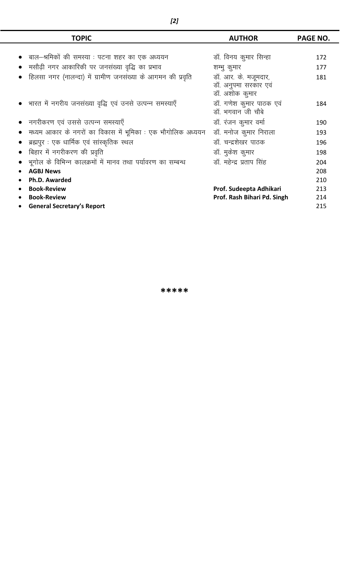| <b>TOPIC</b>                                                | <b>AUTHOR</b>               | <b>PAGE NO.</b> |
|-------------------------------------------------------------|-----------------------------|-----------------|
|                                                             |                             |                 |
| बाल–श्रमिकों की समस्या : पटना शहर का एक अध्ययन              | डॉ. विनय कुमार सिन्हा       | 172             |
| मसौढ़ी नगर आकारिकी पर जनसंख्या वृद्धि का प्रभाव             | शम्भु कुमार                 | 177             |
| हिलसा नगर (नालन्दा) में ग्रामीण जनसंख्या के आगमन की प्रवृति | डॉ. आर. के. मजूमदार,        | 181             |
|                                                             | डॉ. अनुपमा सरकार एवं        |                 |
|                                                             | डॉ. अशोक कुमार              |                 |
| • भारत में नगरीय जनसंख्या वृद्धि एवं उनसे उत्पन्न समस्याएँ  | डॉ. गणेश कुमार पाठक एवं     | 184             |
|                                                             | डॉ. भगवान जी चौबे           |                 |
| नगरीकरण एवं उससे उत्पन्न समस्याएँ                           | डॉ. रंजन कुमार वर्मा        | 190             |
| मध्यम आकार के नगरों का विकास में भूमिका : एक भौगोलिक अध्ययन | डॉ. मनोज कुमार निराला       | 193             |
| ब्रह्मपुर : एक धार्मिक एवं सांस्कृतिक स्थल                  | डॉ. चन्द्रशेखर पाठक         | 196             |
| बिहार में नगरीकरण की प्रवृति                                | डॉ. मुकेश कुमार             | 198             |
| भूगोल के विभिन्न कालक्रमों में मानव तथा पर्यावरण का सम्बन्ध | डॉ. महेन्द्र प्रताप सिंह    | 204             |
| <b>AGBJ News</b>                                            |                             | 208             |
| Ph.D. Awarded                                               |                             | 210             |
| <b>Book-Review</b>                                          | Prof. Sudeepta Adhikari     | 213             |
| <b>Book-Review</b>                                          | Prof. Rash Bihari Pd. Singh | 214             |
| <b>General Secretary's Report</b>                           |                             | 215             |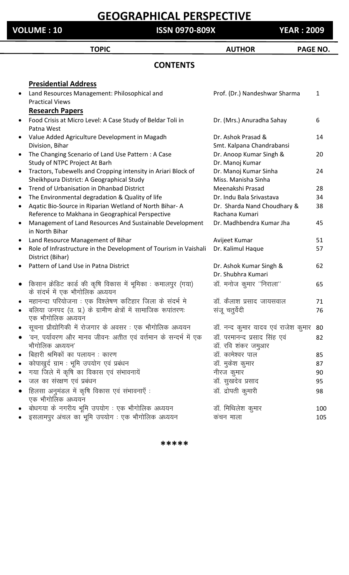**VOLUME : 10 ISSN 0970-809X YEAR : 2009**

|           | <b>TOPIC</b>                                                                                               | <b>AUTHOR</b>                                      | <b>PAGE NO.</b> |
|-----------|------------------------------------------------------------------------------------------------------------|----------------------------------------------------|-----------------|
|           | <b>CONTENTS</b>                                                                                            |                                                    |                 |
|           | <b>Presidential Address</b>                                                                                |                                                    |                 |
|           | Land Resources Management: Philosophical and<br><b>Practical Views</b>                                     | Prof. (Dr.) Nandeshwar Sharma                      | 1               |
|           | <b>Research Papers</b>                                                                                     |                                                    |                 |
| $\bullet$ | Food Crisis at Micro Level: A Case Study of Beldar Toli in<br>Patna West                                   | Dr. (Mrs.) Anuradha Sahay                          | 6               |
| $\bullet$ | Value Added Agriculture Development in Magadh<br>Division, Bihar                                           | Dr. Ashok Prasad &<br>Smt. Kalpana Chandrabansi    | 14              |
| $\bullet$ | The Changing Scenario of Land Use Pattern: A Case<br>Study of NTPC Project At Barh                         | Dr. Anoop Kumar Singh &<br>Dr. Manoj Kumar         | 20              |
| $\bullet$ | Tractors, Tubewells and Cropping intensity in Ariari Block of<br>Sheikhpura District: A Geographical Study | Dr. Manoj Kumar Sinha<br>Miss. Manisha Sinha       | 24              |
| $\bullet$ | Trend of Urbanisation in Dhanbad District                                                                  | Meenakshi Prasad                                   | 28              |
| $\bullet$ | The Environmental degradation & Quality of life                                                            | Dr. Indu Bala Srivastava                           | 34              |
| $\bullet$ | Agatic Bio-Source in Riparian Wetland of North Bihar-A                                                     | Dr. Sharda Nand Choudhary &                        | 38              |
|           | Reference to Makhana in Geographical Perspective                                                           | Rachana Kumari                                     |                 |
| $\bullet$ | Management of Land Resources And Sustainable Development<br>in North Bihar                                 | Dr. Madhbendra Kumar Jha                           | 45              |
| $\bullet$ | Land Resource Management of Bihar                                                                          | Avijeet Kumar                                      | 51              |
| $\bullet$ | Role of Infrastructure in the Development of Tourism in Vaishali<br>District (Bihar)                       | Dr. Kalimul Haque                                  | 57              |
| $\bullet$ | Pattern of Land Use in Patna District                                                                      | Dr. Ashok Kumar Singh &<br>Dr. Shubhra Kumari      | 62              |
|           | किसान क्रेडिट कार्ड की कृषि विकास में भूमिका : कमालपुर (गया)<br>के संदर्भ में एक भौगोलिक अध्ययन            | डॉ. मनोज कुमार "निराला"                            | 65              |
|           | महानन्दा परियोजना : एक विश्लेषण कटिहार जिला के संदर्भ मे                                                   | डॉ. कैलाश प्रसाद जायसवाल                           | 71              |
|           | बलिया जनपद (उ. प्र.) के ग्रामीण क्षेत्रों में सामाजिक रूपांतरणः<br>एक भौगोलिक अध्ययन                       | संजू चतुर्वेदी                                     | 76              |
|           | सूचना प्रौद्योगिकी में रोजगार के अवसर : एक भौगोलिक अध्ययन                                                  | डॉ. नन्द कुमार यादव एवं राजेश कुमार                | 80              |
|           | 'वन, पर्यावरण और मानव जीवनः अतीत एवं वर्त्तमान के सन्दर्भ में एक<br>भौगोलिक अध्ययन'                        | डॉ. परमानन्द प्रसाद सिंह एवं<br>डॉ. रवि शंकर जमुआर | 82              |
|           | बिहारी श्रमिकों का पलायन : कारण                                                                            | डॉ. कामेश्वर पाल                                   | 85              |
|           | कोपाखुर्द ग्राम : भूमि उपयोग एवं प्रबंधन                                                                   | डॉ. मुकेश कुमार                                    | 87              |
|           | गया जिले में कृषि का विकास एवं संभावनायें                                                                  | नीरज कुमार                                         | 90              |
|           | जल का संरक्षण एवं प्रबंधन                                                                                  | डॉ. सुखदेव प्रसाद                                  | 95              |
|           | हिलसा अनुमंडल में कृषि विकास एवं संभावनाएँ :<br>एक भौगोलिक अध्ययन                                          | डॉ. द्रोपती कुमारी                                 | 98              |
|           | बोधगया के नगरीय भूमि उपयोग: एक भौगोलिक अध्ययन                                                              | डॉ. मिथिलेश कुमार                                  | 100             |
|           | इसलामपुर अंचल का भूमि उपयोग: एक भौगोलिक अध्ययन                                                             | कंचन माला                                          | 105             |
|           |                                                                                                            |                                                    |                 |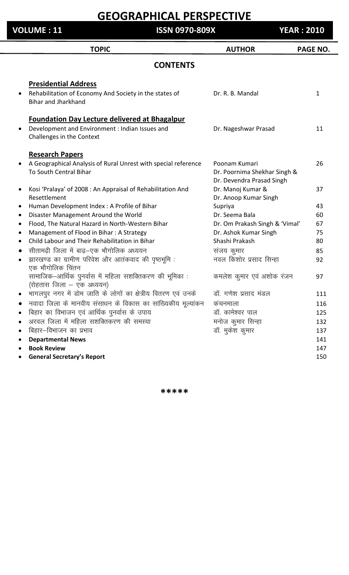**VOLUME : 11 ISSN 0970-809X YEAR : 2010**

**TOPIC AUTHOR PAGE NO. CONTENTS Presidential Address** Rehabilitation of Economy And Society in the states of **Dr. R. B. Mandal** 1 Bihar and Jharkhand **Foundation Day Lecture delivered at Bhagalpur** Development and Environment : Indian Issues and **Dr. Nageshwar Prasad** 11 Challenges in the Context **Research Papers** A Geographical Analysis of Rural Unrest with special reference Poonam Kumari 26 To South Central Bihar **Dr. Poornima Shekhar Singh &** Dr. Devendra Prasad Singh • Kosi 'Pralaya' of 2008 : An Appraisal of Rehabilitation And Dr. Manoj Kumar & 37 Resettlement **Dr. Anoop Kumar Singh** Human Development Index : A Profile of Bihar Supriya Supriya 343 Disaster Management Around the World **Dr. Seema Bala** 60 Flood, The Natural Hazard in North-Western Bihar **Dr. Om Prakash Singh & 'Vimal'** 67 Management of Flood in Bihar : A Strategy Dr. Ashok Kumar Singh 75 Child Labour and Their Rehabilitation in Bihar Shashi Prakash 80 सीतामढी जिला में बाढ—एक भौगोलिक अध्ययन संजय कुमार 85 झारखण्ड का ग्रामीण परिवेश और आतंकवाद की पृष्ठभूमि : बाद कर नवल किशोर प्रसाद सिन्हा विकार 22 एक भौगोलिक चिंतन सामाजिक–आर्थिक पुनर्वास में महिला सशक्तिकरण की भूमिका : कमलेश कुमार एवं अशोक रंजन 97 (रोहतास जिला  $-$  एक अध्ययन) भागलपुर नगर में डोम जाति के लोगों का क्षेत्रीय वितरण एवं उनके ब्हाँ. गणेश प्रसाद मंडल व्यास्त स्था स्था 111  $\bullet$  नवादा जिला के मानवीय संसाधन के विकास का सांख्यिकीय मूल्यांकन कंचनमाला  $\qquad \qquad \, \text{116}$  fcgkj dk foHkktu ,oa vkfFkZd iquokZl ds mik; MkW- dkes"oj iky 125 अरवल जिला में महिला सशक्तिकरण की समस्या का बाल के सनोज कुमार सिन्हा का स्थान करता है। 132 बिहार–विभाजन का प्रभाव ताल का समाव करने के बाद करने के बाद पर बाद पर बाद करने के बाद 137 **Departmental News** 141 **Book Review** 147

**General Secretary's Report** 150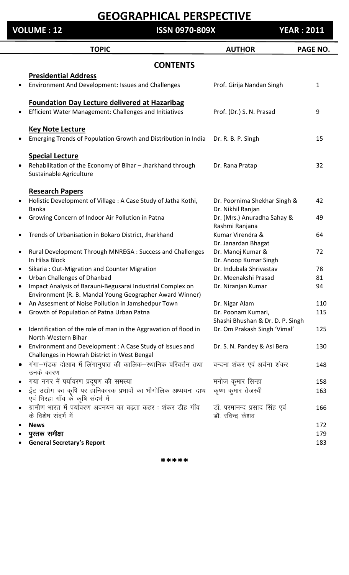**VOLUME : 12 ISSN 0970-809X YEAR : 2011**

|                 | <b>TOPIC</b>                                                                                        | <b>AUTHOR</b>                                     | PAGE NO.     |  |
|-----------------|-----------------------------------------------------------------------------------------------------|---------------------------------------------------|--------------|--|
| <b>CONTENTS</b> |                                                                                                     |                                                   |              |  |
|                 | <b>Presidential Address</b>                                                                         |                                                   |              |  |
|                 | Environment And Development: Issues and Challenges                                                  | Prof. Girija Nandan Singh                         | $\mathbf{1}$ |  |
|                 | <b>Foundation Day Lecture delivered at Hazaribag</b>                                                |                                                   |              |  |
|                 | Efficient Water Management: Challenges and Initiatives                                              | Prof. (Dr.) S. N. Prasad                          | 9            |  |
|                 | <b>Key Note Lecture</b>                                                                             |                                                   |              |  |
|                 | Emerging Trends of Population Growth and Distribution in India                                      | Dr. R. B. P. Singh                                | 15           |  |
|                 |                                                                                                     |                                                   |              |  |
|                 | <b>Special Lecture</b>                                                                              |                                                   |              |  |
|                 | Rehabilitation of the Economy of Bihar - Jharkhand through<br>Sustainable Agriculture               | Dr. Rana Pratap                                   | 32           |  |
|                 |                                                                                                     |                                                   |              |  |
|                 | <b>Research Papers</b>                                                                              |                                                   | 42           |  |
|                 | Holistic Development of Village: A Case Study of Jatha Kothi,<br><b>Banka</b>                       | Dr. Poornima Shekhar Singh &<br>Dr. Nikhil Ranjan |              |  |
|                 | Growing Concern of Indoor Air Pollution in Patna                                                    | Dr. (Mrs.) Anuradha Sahay &                       | 49           |  |
|                 |                                                                                                     | Rashmi Ranjana                                    |              |  |
|                 | Trends of Urbanisation in Bokaro District, Jharkhand                                                | Kumar Virendra &                                  | 64           |  |
|                 |                                                                                                     | Dr. Janardan Bhagat<br>Dr. Manoj Kumar &          | 72           |  |
| $\bullet$       | Rural Development Through MNREGA : Success and Challenges<br>In Hilsa Block                         | Dr. Anoop Kumar Singh                             |              |  |
| $\bullet$       | Sikaria: Out-Migration and Counter Migration                                                        | Dr. Indubala Shrivastav                           | 78           |  |
|                 | <b>Urban Challenges of Dhanbad</b>                                                                  | Dr. Meenakshi Prasad                              | 81           |  |
|                 | Impact Analysis of Barauni-Begusarai Industrial Complex on                                          | Dr. Niranjan Kumar                                | 94           |  |
|                 | Environment (R. B. Mandal Young Geographer Award Winner)                                            |                                                   |              |  |
|                 | An Assesment of Noise Pollution in Jamshedpur Town                                                  | Dr. Nigar Alam                                    | 110          |  |
|                 | Growth of Population of Patna Urban Patna                                                           | Dr. Poonam Kumari,                                | 115          |  |
|                 |                                                                                                     | Shashi Bhushan & Dr. D. P. Singh                  |              |  |
|                 | Identification of the role of man in the Aggravation of flood in<br>North-Western Bihar             | Dr. Om Prakash Singh 'Vimal'                      | 125          |  |
| $\bullet$       | Environment and Development : A Case Study of Issues and                                            | Dr. S. N. Pandey & Asi Bera                       | 130          |  |
|                 | Challenges in Howrah District in West Bengal                                                        |                                                   |              |  |
| $\bullet$       | गंगा-गंडक दोआब में लिंगानुपात की कालिक-स्थानिक परिवर्त्तन तथा<br>उनके कारण                          | वन्दना शंकर एवं अर्चना शंकर                       | 148          |  |
|                 | गया नगर में पर्यावरण प्रदूषण की समस्या                                                              | मनोज कुमार सिन्हा                                 | 158          |  |
|                 | ईंट उद्योग का कृषि पर हानिकारक प्रभावों का भौगोलिक अध्ययनः दाथ<br>एवं भिरहा गाँव के कृषि संदर्भ में | कृष्ण कुमार तेजस्वी                               | 163          |  |
|                 | ग्रामीण भारत में पर्यावरण अवनयन का बढ़ता कहर: शंकर डीह गाँव                                         | डॉ. परमानन्द प्रसाद सिंह एवं                      | 166          |  |
|                 | के विशेष संदर्भ में                                                                                 | डॉ. रविन्द्र केशव                                 |              |  |
|                 | <b>News</b>                                                                                         |                                                   | 172          |  |
|                 | पुस्तक समीक्षा                                                                                      |                                                   | 179          |  |
|                 | <b>General Secretary's Report</b>                                                                   |                                                   | 183          |  |
|                 |                                                                                                     |                                                   |              |  |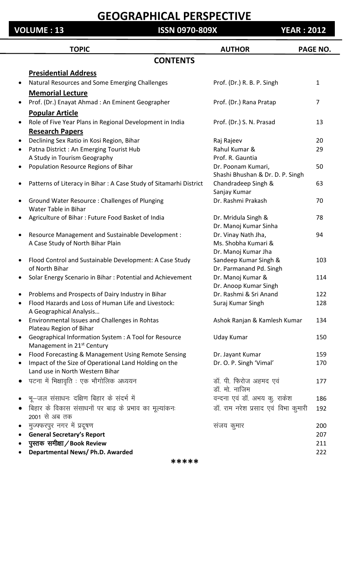#### **VOLUME : 13 ISSN 0970-809X YEAR : 2012**

|           | <b>TOPIC</b>                                                              | <b>AUTHOR</b>                              | <b>PAGE NO.</b> |
|-----------|---------------------------------------------------------------------------|--------------------------------------------|-----------------|
|           | <b>CONTENTS</b>                                                           |                                            |                 |
|           | <b>Presidential Address</b>                                               |                                            |                 |
| $\bullet$ | Natural Resources and Some Emerging Challenges                            | Prof. (Dr.) R. B. P. Singh                 | 1               |
|           | <b>Memorial Lecture</b>                                                   |                                            |                 |
|           | Prof. (Dr.) Enayat Ahmad: An Eminent Geographer                           | Prof. (Dr.) Rana Pratap                    | $\overline{7}$  |
|           | <b>Popular Article</b>                                                    |                                            |                 |
|           | Role of Five Year Plans in Regional Development in India                  | Prof. (Dr.) S. N. Prasad                   | 13              |
|           | <b>Research Papers</b>                                                    |                                            |                 |
| $\bullet$ | Declining Sex Ratio in Kosi Region, Bihar                                 | Raj Rajeev                                 | 20              |
| $\bullet$ | Patna District : An Emerging Tourist Hub                                  | Rahul Kumar &                              | 29              |
|           | A Study in Tourism Geography                                              | Prof. R. Gauntia                           |                 |
|           | Population Resource Regions of Bihar                                      | Dr. Poonam Kumari,                         | 50              |
|           |                                                                           | Shashi Bhushan & Dr. D. P. Singh           |                 |
|           | Patterns of Literacy in Bihar : A Case Study of Sitamarhi District        | Chandradeep Singh &                        | 63              |
|           |                                                                           | Sanjay Kumar                               |                 |
|           | Ground Water Resource: Challenges of Plunging                             | Dr. Rashmi Prakash                         | 70              |
|           | Water Table in Bihar                                                      |                                            |                 |
|           | Agriculture of Bihar: Future Food Basket of India                         | Dr. Mridula Singh &                        | 78              |
|           |                                                                           | Dr. Manoj Kumar Sinha                      |                 |
| $\bullet$ | Resource Management and Sustainable Development :                         | Dr. Vinay Nath Jha,                        | 94              |
|           | A Case Study of North Bihar Plain                                         | Ms. Shobha Kumari &                        |                 |
|           |                                                                           | Dr. Manoj Kumar Jha                        |                 |
|           | Flood Control and Sustainable Development: A Case Study<br>of North Bihar | Sandeep Kumar Singh &                      | 103             |
|           |                                                                           | Dr. Parmanand Pd. Singh                    | 114             |
| $\bullet$ | Solar Energy Scenario in Bihar: Potential and Achievement                 | Dr. Manoj Kumar &<br>Dr. Anoop Kumar Singh |                 |
|           | Problems and Prospects of Dairy Industry in Bihar                         | Dr. Rashmi & Sri Anand                     | 122             |
|           | Flood Hazards and Loss of Human Life and Livestock:                       | Suraj Kumar Singh                          | 128             |
|           | A Geographical Analysis                                                   |                                            |                 |
| $\bullet$ | Environmental Issues and Challenges in Rohtas                             | Ashok Ranjan & Kamlesh Kumar               | 134             |
|           | Plateau Region of Bihar                                                   |                                            |                 |
| $\bullet$ | Geographical Information System : A Tool for Resource                     | Uday Kumar                                 | 150             |
|           | Management in 21 <sup>st</sup> Century                                    |                                            |                 |
| $\bullet$ | Flood Forecasting & Management Using Remote Sensing                       | Dr. Jayant Kumar                           | 159             |
|           | Impact of the Size of Operational Land Holding on the                     | Dr. O. P. Singh 'Vimal'                    | 170             |
|           | Land use in North Western Bihar                                           |                                            |                 |
|           | पटना में भिक्षावृति : एक भौगोलिक अध्ययन                                   | डॉ. पी. फिरोज अहमद एवं                     | 177             |
|           |                                                                           | डॉ. मो. नाजिम                              |                 |
|           | भू-जल संसाधनः दक्षिण बिहार के संदर्भ में                                  | वन्दना एवं डॉ. अभय कु. राकेश               | 186             |
|           | बिहार के विकास संसाधनों पर बाढ़ के प्रभाव का मूल्यांकनः<br>2001 से अब तक  | डॉ. राम नरेश प्रसाद एवं विभा कुमारी        | 192             |
| $\bullet$ | मुज्फ्फरपुर नगर में प्रदूषण                                               | संजय कुमार                                 | 200             |
|           | <b>General Secretary's Report</b>                                         |                                            | 207             |
|           | पुस्तक समीक्षा / Book Review                                              |                                            | 211             |
|           | Departmental News/Ph.D. Awarded                                           |                                            | 222             |
|           | *****                                                                     |                                            |                 |
|           |                                                                           |                                            |                 |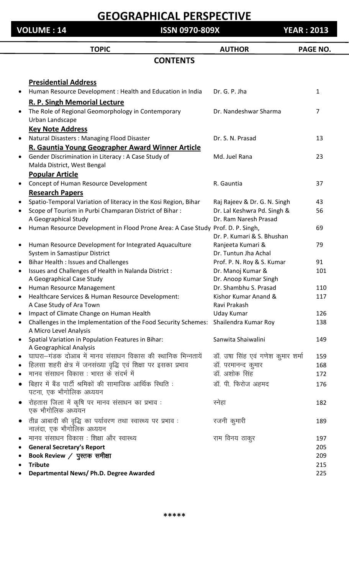**VOLUME : 14 ISSN 0970-809X YEAR : 2013**

|                        | <b>TOPIC</b>                                                                             | <b>AUTHOR</b>                                           | <b>PAGE NO.</b> |
|------------------------|------------------------------------------------------------------------------------------|---------------------------------------------------------|-----------------|
|                        | <b>CONTENTS</b>                                                                          |                                                         |                 |
|                        |                                                                                          |                                                         |                 |
|                        | <b>Presidential Address</b>                                                              |                                                         |                 |
| $\bullet$              | Human Resource Development : Health and Education in India                               | Dr. G. P. Jha                                           | $\mathbf{1}$    |
|                        | R. P. Singh Memorial Lecture                                                             |                                                         |                 |
| $\bullet$              | The Role of Regional Geomorphology in Contemporary                                       | Dr. Nandeshwar Sharma                                   | $\overline{7}$  |
|                        | Urban Landscape                                                                          |                                                         |                 |
|                        | <b>Key Note Address</b>                                                                  |                                                         |                 |
| $\bullet$              | Natural Disasters: Managing Flood Disaster                                               | Dr. S. N. Prasad                                        | 13              |
|                        | R. Gauntia Young Geographer Award Winner Article                                         |                                                         |                 |
| $\bullet$              | Gender Discrimination in Literacy : A Case Study of<br>Malda District, West Bengal       | Md. Juel Rana                                           | 23              |
|                        | <b>Popular Article</b>                                                                   |                                                         |                 |
| $\bullet$              | Concept of Human Resource Development                                                    | R. Gauntia                                              | 37              |
|                        | <b>Research Papers</b>                                                                   |                                                         |                 |
| $\bullet$              | Spatio-Temporal Variation of literacy in the Kosi Region, Bihar                          | Raj Rajeev & Dr. G. N. Singh                            | 43              |
| $\bullet$              | Scope of Tourism in Purbi Champaran District of Bihar:                                   | Dr. Lal Keshwra Pd. Singh &                             | 56              |
|                        | A Geographical Study                                                                     | Dr. Ram Naresh Prasad                                   |                 |
| ٠                      | Human Resource Development in Flood Prone Area: A Case Study Prof. D. P. Singh,          | Dr. P. Kumari & S. Bhushan                              | 69              |
| $\bullet$              | Human Resource Development for Integrated Aquaculture                                    | Ranjeeta Kumari &                                       | 79              |
|                        | System in Samastipur District                                                            | Dr. Tuntun Jha Achal                                    |                 |
| $\bullet$              | Bihar Health: Issues and Challenges                                                      | Prof. P. N. Roy & S. Kumar                              | 91              |
| $\bullet$              | Issues and Challenges of Health in Nalanda District:                                     | Dr. Manoj Kumar &                                       | 101             |
|                        | A Geographical Case Study                                                                | Dr. Anoop Kumar Singh                                   |                 |
| $\bullet$              | Human Resource Management                                                                | Dr. Shambhu S. Prasad                                   | 110             |
|                        | Healthcare Services & Human Resource Development:                                        | Kishor Kumar Anand &                                    | 117             |
|                        | A Case Study of Ara Town                                                                 | Ravi Prakash                                            |                 |
| $\bullet$              | Impact of Climate Change on Human Health                                                 | Uday Kumar                                              | 126             |
| $\bullet$              | Challenges in the Implementation of the Food Security Schemes:<br>A Micro Level Analysis | Shailendra Kumar Roy                                    | 138             |
| $\bullet$              | Spatial Variation in Population Features in Bihar:                                       | Sanwita Shaiwalini                                      | 149             |
|                        | A Geographical Analysis<br>घाघरा—गंडक दोआब में मानव संसाधन विकास की स्थानिक भिन्नतायें   |                                                         |                 |
| $\bullet$<br>$\bullet$ | हिलसा शहरी क्षेत्र में जनसंख्या वृद्धि एवं शिक्षा पर इसका प्रभाव                         | डॉ. उषा सिंह एवं गणेश कुमार शर्मा<br>डॉ. परमानन्द कुमार | 159<br>168      |
| $\bullet$              | मानव संसाधन विकास : भारत के संदर्भ में                                                   | डॉ. अशोक सिंह                                           | 172             |
|                        | बिहार में बैंड पार्टी श्रमिकों की सामाजिक आर्थिक स्थिति :                                | डॉ. पी. फिरोज अहमद                                      | 176             |
|                        | पटना, एक भौगोलिक अध्ययन                                                                  |                                                         |                 |
| $\bullet$              | रोहतास जिला में कृषि पर मानव संसाधन का प्रभाव :<br>एक भौगोलिक अध्ययन                     | स्नेहा                                                  | 182             |
| $\bullet$              | तीव्र आबादी की वृद्धि का पर्यावरण तथा स्वास्थ्य पर प्रभाव :<br>नालंदा, एक भौगोलिक अध्ययन | रजनी कुमारी                                             | 189             |
| $\bullet$              | मानव संसाधन विकास : शिक्षा और स्वास्थ्य                                                  | राम विनय ठाकुर                                          | 197             |
| $\bullet$              | <b>General Secretary's Report</b>                                                        |                                                         | 205             |
| $\bullet$              | Book Review $\angle$ पुस्तक समीक्षा                                                      |                                                         | 209             |
| $\bullet$              | <b>Tribute</b>                                                                           |                                                         | 215             |
|                        | Departmental News/ Ph.D. Degree Awarded                                                  |                                                         | 225             |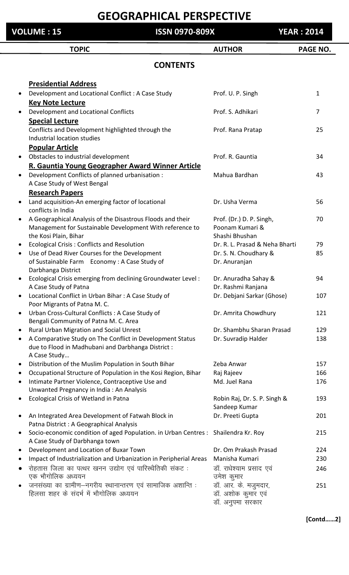| <b>VOLUME : 15</b> |                                                                                                                      | <b>ISSN 0970-809X</b> |                                                                | <b>YEAR: 2014</b> |  |
|--------------------|----------------------------------------------------------------------------------------------------------------------|-----------------------|----------------------------------------------------------------|-------------------|--|
|                    | <b>TOPIC</b>                                                                                                         |                       | <b>AUTHOR</b>                                                  | PAGE NO.          |  |
|                    |                                                                                                                      | <b>CONTENTS</b>       |                                                                |                   |  |
|                    | <b>Presidential Address</b>                                                                                          |                       |                                                                |                   |  |
|                    | Development and Locational Conflict : A Case Study                                                                   |                       | Prof. U. P. Singh                                              | $\mathbf{1}$      |  |
|                    | <b>Key Note Lecture</b>                                                                                              |                       |                                                                |                   |  |
|                    | Development and Locational Conflicts                                                                                 |                       | Prof. S. Adhikari                                              | 7                 |  |
|                    | <b>Special Lecture</b>                                                                                               |                       |                                                                |                   |  |
|                    | Conflicts and Development highlighted through the<br>Industrial location studies                                     |                       | Prof. Rana Pratap                                              | 25                |  |
|                    | <b>Popular Article</b>                                                                                               |                       |                                                                |                   |  |
|                    | Obstacles to industrial development                                                                                  |                       | Prof. R. Gauntia                                               | 34                |  |
|                    | R. Gauntia Young Geographer Award Winner Article                                                                     |                       |                                                                |                   |  |
|                    | Development Conflicts of planned urbanisation :                                                                      |                       | Mahua Bardhan                                                  | 43                |  |
|                    | A Case Study of West Bengal                                                                                          |                       |                                                                |                   |  |
|                    | <b>Research Papers</b>                                                                                               |                       |                                                                |                   |  |
|                    | Land acquisition-An emerging factor of locational<br>conflicts in India                                              |                       | Dr. Usha Verma                                                 | 56                |  |
|                    | A Geographical Analysis of the Disastrous Floods and their                                                           |                       | Prof. (Dr.) D. P. Singh,                                       | 70                |  |
|                    | Management for Sustainable Development With reference to                                                             |                       | Poonam Kumari &                                                |                   |  |
|                    | the Kosi Plain, Bihar                                                                                                |                       | Shashi Bhushan                                                 |                   |  |
|                    | <b>Ecological Crisis: Conflicts and Resolution</b>                                                                   |                       | Dr. R. L. Prasad & Neha Bharti                                 | 79                |  |
|                    | Use of Dead River Courses for the Development                                                                        |                       | Dr. S. N. Choudhary &                                          | 85                |  |
|                    | of Sustainable Farm Economy: A Case Study of                                                                         |                       | Dr. Anuranjan                                                  |                   |  |
|                    | Darbhanga District                                                                                                   |                       |                                                                |                   |  |
| $\bullet$          | Ecological Crisis emerging from declining Groundwater Level:<br>A Case Study of Patna                                |                       | Dr. Anuradha Sahay &<br>Dr. Rashmi Ranjana                     | 94                |  |
|                    | Locational Conflict in Urban Bihar: A Case Study of                                                                  |                       | Dr. Debjani Sarkar (Ghose)                                     | 107               |  |
|                    | Poor Migrants of Patna M. C.                                                                                         |                       |                                                                |                   |  |
|                    | Urban Cross-Cultural Conflicts : A Case Study of                                                                     |                       | Dr. Amrita Chowdhury                                           | 121               |  |
|                    | Bengali Community of Patna M. C. Area                                                                                |                       |                                                                |                   |  |
|                    | Rural Urban Migration and Social Unrest                                                                              |                       | Dr. Shambhu Sharan Prasad                                      | 129               |  |
| $\bullet$          | A Comparative Study on The Conflict in Development Status                                                            |                       | Dr. Suvradip Halder                                            | 138               |  |
|                    | due to Flood in Madhubani and Darbhanga District :<br>A Case Study                                                   |                       |                                                                |                   |  |
| $\bullet$          | Distribution of the Muslim Population in South Bihar                                                                 |                       | Zeba Anwar                                                     | 157               |  |
|                    | Occupational Structure of Population in the Kosi Region, Bihar                                                       |                       | Raj Rajeev                                                     | 166               |  |
| $\bullet$          | Intimate Partner Violence, Contraceptive Use and                                                                     |                       | Md. Juel Rana                                                  | 176               |  |
|                    | Unwanted Pregnancy in India: An Analysis                                                                             |                       |                                                                |                   |  |
|                    | Ecological Crisis of Wetland in Patna                                                                                |                       | Robin Raj, Dr. S. P. Singh &                                   | 193               |  |
|                    |                                                                                                                      |                       | Sandeep Kumar                                                  | 201               |  |
|                    | An Integrated Area Development of Fatwah Block in<br>Patna District : A Geographical Analysis                        |                       | Dr. Preeti Gupta                                               |                   |  |
| $\bullet$          | Socio-economic condition of aged Population. in Urban Centres : Shailendra Kr. Roy<br>A Case Study of Darbhanga town |                       |                                                                | 215               |  |
| $\bullet$          | Development and Location of Buxar Town                                                                               |                       | Dr. Om Prakash Prasad                                          | 224               |  |
| $\bullet$          | Impact of Industrialization and Urbanization in Peripherial Areas                                                    |                       | Manisha Kumari                                                 | 230               |  |
|                    | रोहतास जिला का पत्थर खनन उद्योग एवं पारिस्थैतिकी संकट:<br>एक भौगोलिक अध्ययन                                          |                       | डॉ. राधेश्याम प्रसाद एवं<br>उमेश कुमार                         | 246               |  |
|                    | जनसंख्या का ग्रामीण-नगरीय स्थानान्तरण एवं सामाजिक अशान्ति :<br>हिलसा शहर के संदर्भ में भौगोलिक अध्ययन                |                       | डॉ. आर. के. मजुमदार,<br>डॉ. अशोक कुमार एवं<br>डॉ. अनुपमा सरकार | 251               |  |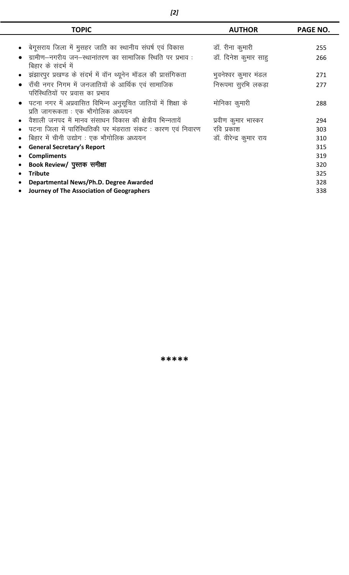|           | <b>TOPIC</b>                                                   | <b>AUTHOR</b>           | PAGE NO. |
|-----------|----------------------------------------------------------------|-------------------------|----------|
|           |                                                                |                         |          |
|           | बेगूसराय जिला में मुसहर जाति का स्थानीय संघर्ष एवं विकास       | डॉ. रीना कुमारी         | 255      |
|           | ग्रामीण–नगरीय जन–स्थानांतरण का सामाजिक स्थिति पर प्रभाव :      | डॉ. दिनेश कुमार साह     | 266      |
|           | बिहार के संदर्भ में                                            |                         |          |
|           | झंझारपुर प्रखण्ड के संदर्भ में वॉन थ्यूनेन मॉडल की प्रासंगिकता | भुवनेश्वर कुमार मंडल    | 271      |
| $\bullet$ | राँची नगर निगम में जनजातियों के आर्थिक एवं सामाजिक             | निरूपमा सुरभि लकड़ा     | 277      |
|           | परिस्थितियों पर प्रवास का प्रभाव                               |                         |          |
|           | पटना नगर में अप्रवासित विभिन्न अनुसूचित जातियों में शिक्षा के  | मोनिका कुमारी           | 288      |
|           | प्रति जागरूकता : एक भौगोलिक अध्ययन                             |                         |          |
|           | ं वैशाली जनपद में मानव संसाधन विकास की क्षेत्रीय भिन्नतायें    | प्रवीण कुमार भास्कर     | 294      |
|           | पटना जिला में पारिस्थितिकी पर मंडराता संकट : कारण एवं निवारण   | रवि प्रकाश              | 303      |
|           | बिहार में चीनी उद्योग: एक भौगोलिक अध्ययन                       | डॉ. वीरेन्द्र कुमार राय | 310      |
|           | <b>General Secretary's Report</b>                              |                         | 315      |
|           | <b>Compliments</b>                                             |                         | 319      |
|           | Book Review/ पुस्तक समीक्षा                                    |                         | 320      |
| $\bullet$ | <b>Tribute</b>                                                 |                         | 325      |
|           | Departmental News/Ph.D. Degree Awarded                         |                         | 328      |
|           | Journey of The Association of Geographers                      |                         | 338      |
|           |                                                                |                         |          |

 $\overline{a}$ 

—<br>—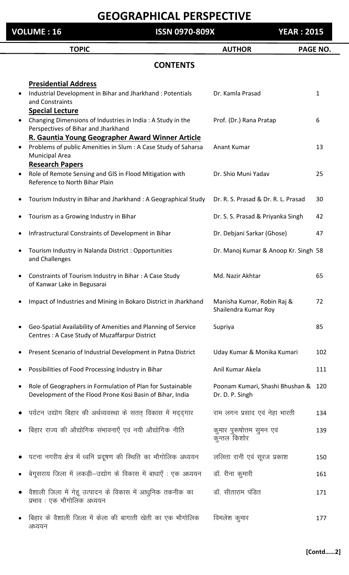| <b>VOLUME: 16</b> |                                                                                                                                                                       | <b>ISSN 0970-809X</b> |                                                        | <b>YEAR: 2015</b> |  |
|-------------------|-----------------------------------------------------------------------------------------------------------------------------------------------------------------------|-----------------------|--------------------------------------------------------|-------------------|--|
|                   | <b>TOPIC</b>                                                                                                                                                          |                       | <b>AUTHOR</b>                                          | PAGE NO.          |  |
|                   |                                                                                                                                                                       | <b>CONTENTS</b>       |                                                        |                   |  |
|                   | <b>Presidential Address</b><br>Industrial Development in Bihar and Jharkhand: Potentials<br>and Constraints                                                           |                       | Dr. Kamla Prasad                                       | $\mathbf{1}$      |  |
|                   | <b>Special Lecture</b><br>Changing Dimensions of Industries in India: A Study in the<br>Perspectives of Bihar and Jharkhand                                           |                       | Prof. (Dr.) Rana Pratap                                | 6                 |  |
|                   | R. Gauntia Young Geographer Award Winner Article<br>Problems of public Amenities in Slum : A Case Study of Saharsa<br><b>Municipal Area</b><br><b>Research Papers</b> |                       | Anant Kumar                                            | 13                |  |
|                   | Role of Remote Sensing and GIS in Flood Mitigation with<br>Reference to North Bihar Plain                                                                             |                       | Dr. Shio Muni Yadav                                    | 25                |  |
|                   | Tourism Industry in Bihar and Jharkhand: A Geographical Study                                                                                                         |                       | Dr. R. S. Prasad & Dr. R. L. Prasad                    | 30                |  |
|                   | Tourism as a Growing Industry in Bihar                                                                                                                                |                       | Dr. S. S. Prasad & Priyanka Singh                      | 42                |  |
|                   | Infrastructural Constraints of Development in Bihar                                                                                                                   |                       | Dr. Debjani Sarkar (Ghose)                             | 47                |  |
|                   | Tourism Industry in Nalanda District: Opportunities<br>and Challenges                                                                                                 |                       | Dr. Manoj Kumar & Anoop Kr. Singh 58                   |                   |  |
|                   | Constraints of Tourism Industry in Bihar: A Case Study<br>of Kanwar Lake in Begusarai                                                                                 |                       | Md. Nazir Akhtar                                       | 65                |  |
|                   | Impact of Industries and Mining in Bokaro District in Jharkhand                                                                                                       |                       | Manisha Kumar, Robin Raj &<br>Shailendra Kumar Roy     | 72                |  |
|                   | Geo-Spatial Availability of Amenities and Planning of Service<br>Centres: A Case Study of Muzaffarpur District                                                        |                       | Supriya                                                | 85                |  |
|                   | Present Scenario of Industrial Development in Patna District                                                                                                          |                       | Uday Kumar & Monika Kumari                             | 102               |  |
|                   | Possibilities of Food Processing Industry in Bihar                                                                                                                    |                       | Anil Kumar Akela                                       | 111               |  |
|                   | Role of Geographers in Formulation of Plan for Sustainable<br>Development of the Flood Prone Kosi Basin of Bihar, India                                               |                       | Poonam Kumari, Shashi Bhushan & 120<br>Dr. D. P. Singh |                   |  |
|                   | पर्यटन उद्योग बिहार की अर्थव्यवस्था के सतत् विकास में मददगार                                                                                                          |                       | राम लगन प्रसाद एवं नेहा भारती                          | 134               |  |
|                   | बिहार राज्य की औद्योगिक संभावनाएँ एवं नयी औद्योगिक नीति                                                                                                               |                       | कुमार पुरूषोत्तम सुमन एवं<br>कुन्तल किशोर              | 139               |  |
|                   | पटना नगरीय क्षेत्र में ध्वनि प्रदूषण की स्थिति का भौगोलिक अध्ययन                                                                                                      |                       | ललिता रानी एवं सूरज प्रकाश                             | 150               |  |
|                   | बेगूसराय जिला में लकड़ी–उद्योग के विकास में बाधाएँ : एक अध्ययन                                                                                                        |                       | डॉ. रीना कुमारी                                        | 161               |  |
|                   | वैशाली जिला में गेहू उत्पादन के विकास में आधुनिक तकनीक का<br>प्रभाव : एक भौगोलिक अध्ययन                                                                               |                       | डॉ. सीताराम पंडित                                      | 171               |  |
|                   | बिहार के वैशाली जिला में केला की बागाती खेती का एक भौगोलिक<br>अध्ययन                                                                                                  |                       | विमलेश कुमार                                           | 177               |  |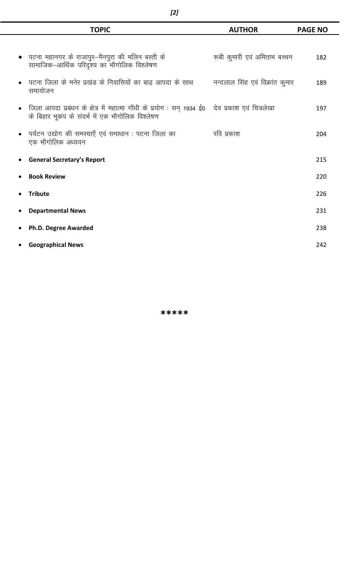| <b>TOPIC</b>                                                                                                                                          | <b>AUTHOR</b>                | <b>PAGE NO</b> |
|-------------------------------------------------------------------------------------------------------------------------------------------------------|------------------------------|----------------|
|                                                                                                                                                       |                              |                |
| पटना महानगर के राजापुर—मैनपुरा की मलिन बस्ती के<br>सामाजिक–आर्थिक परिदृश्य का भौगोलिक विश्लेषण                                                        | रूबी कुमारी एवं अमिताभ बच्चन | 182            |
| पटना जिला के मनेर प्रखंड के निवासियों का बाढ़ आपदा के साथ विन्दलाल सिंह एवं विक्रांत कुमार<br>समायोजन                                                 |                              | 189            |
| जिला आपदा प्रबंधन के क्षेत्र में महात्मा गाँधी के प्रयोग : सन् 1934 ई0 ) देव प्रकाश एवं चित्रलेखा<br>के बिहार भूकंप के संदर्भ में एक भौगोलिक विश्लेषण |                              | 197            |
| पर्यटन उद्योग की समस्याएँ एवं समाधान : पटना जिला का<br>एक भौगोलिक अध्ययन                                                                              | रवि प्रकाश                   | 204            |
| <b>General Secretary's Report</b>                                                                                                                     |                              | 215            |
| <b>Book Review</b>                                                                                                                                    |                              | 220            |
| <b>Tribute</b>                                                                                                                                        |                              | 226            |
| <b>Departmental News</b>                                                                                                                              |                              | 231            |
| Ph.D. Degree Awarded                                                                                                                                  |                              | 238            |
| <b>Geographical News</b>                                                                                                                              |                              | 242            |

Ē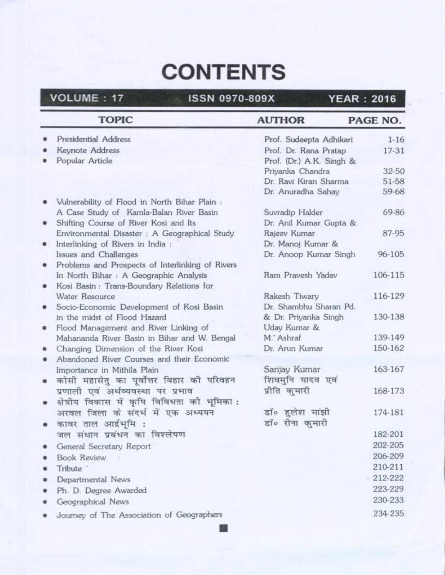# **CONTENTS**

| <b>TOPIC</b>                                                                       | <b>AUTHOR</b>             | PAGE NO. |
|------------------------------------------------------------------------------------|---------------------------|----------|
| Presidential Address                                                               | Prof. Sudeepta Adhikari   | $1 - 16$ |
| Keynote Address                                                                    | Prof. Dr. Rana Pratap     | 17-31    |
| Popular Article                                                                    | Prof. (Dr.) A.K. Singh &  |          |
|                                                                                    | Priyanka Chandra          | 32-50    |
|                                                                                    | Dr. Ravi Kiran Sharma     | 51-58    |
|                                                                                    | Dr. Anuradha Sahay        | 59-68    |
| Vulnerability of Flood in North Bihar Plain :                                      |                           |          |
| A Case Study of Kamla-Balan River Basin                                            | Suvradip Halder           | 69-86    |
| Shifting Course of River Kosi and Its                                              | Dr. Anil Kumar Gupta &    |          |
| Environmental Disaster : A Geographical Study                                      | Rajeev Kumar              | 87-95    |
| Interlinking of Rivers in India :<br>۰                                             | Dr. Manoj Kumar &         |          |
| Issues and Challenges                                                              | Dr. Anoop Kumar Singh     | 96-105   |
| Problems and Prospects of Interlinking of Rivers                                   |                           |          |
| In North Bihar : A Geographic Analysis                                             | Ram Pravesh Yadav         | 106-115  |
| Kosi Basin: Trans-Boundary Relations for                                           |                           |          |
| Water Resource                                                                     | Rakesh Tiwary             | 116-129  |
| Socio-Economic Development of Kosi Basin                                           | Dr. Shambhu Sharan Pd.    |          |
| in the midst of Flood Hazard                                                       | & Dr. Priyanka Singh      | 130-138  |
| Flood Management and River Linking of<br>۰                                         | Uday Kumar &<br>M. Ashraf | 139-149  |
| Mahananda River Basin in Bihar and W. Bengal                                       | Dr. Arun Kumar            | 150-162  |
| Changing Dimension of the River Kosi<br>Abandoned River Courses and their Economic |                           |          |
|                                                                                    | Sanjay Kumar              | 163-167  |
| Importance in Mithila Plain                                                        | शिवमनि यादव एवं           |          |
| कोसी महासेतु का पूर्वोत्तर बिहार की परिवहन                                         | प्रीति कमारी              | 168-173  |
| प्रणाली एवं अर्थव्यवस्था पर प्रभाव                                                 |                           |          |
| क्षेत्रीय विकास में कृषि विविधता को भूमिका:                                        |                           | 174-181  |
| अरवल जिला के संदर्भ में एक अध्ययन                                                  | डॉ॰ हलेश मांझी            |          |
| कावर ताल आर्द्रभूमि :                                                              | डॉ॰ रीना कुमारी           |          |
| जल संधान प्रबंधन का विश्लेषण                                                       |                           | 182-201  |
| General Secretary Report                                                           |                           | 202-205  |
| <b>Book Review</b>                                                                 |                           | 206-209  |
| Tribute <sup>1</sup>                                                               |                           | 210-211  |
| Departmental News                                                                  |                           | 212-222  |
| Ph. D. Degree Awarded                                                              |                           | 223-229  |
| Geographical News                                                                  |                           | 230-233  |
| Journey of The Association of Geographers                                          |                           | 234-235  |